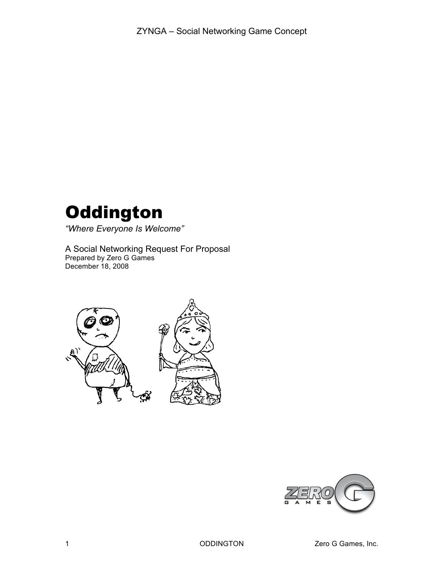# **Oddington**

*"Where Everyone Is Welcome"*

A Social Networking Request For Proposal Prepared by Zero G Games December 18, 2008



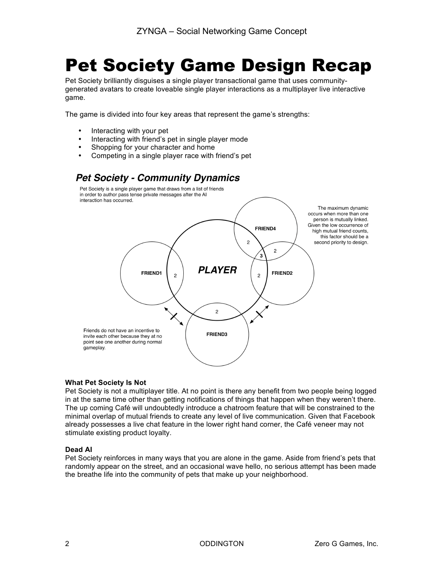### Pet Society Game Design Recap

Pet Society brilliantly disguises a single player transactional game that uses communitygenerated avatars to create loveable single player interactions as a multiplayer live interactive game.

The game is divided into four key areas that represent the game's strengths:

- Interacting with your pet
- Interacting with friend's pet in single player mode
- Shopping for your character and home
- Competing in a single player race with friend's pet

### **Pet Society - Community Dynamics**



#### **What Pet Society Is Not**

Pet Society is not a multiplayer title. At no point is there any benefit from two people being logged in at the same time other than getting notifications of things that happen when they weren't there. The up coming Café will undoubtedly introduce a chatroom feature that will be constrained to the minimal overlap of mutual friends to create any level of live communication. Given that Facebook already possesses a live chat feature in the lower right hand corner, the Café veneer may not stimulate existing product loyalty.

#### **Dead AI**

Pet Society reinforces in many ways that you are alone in the game. Aside from friend's pets that randomly appear on the street, and an occasional wave hello, no serious attempt has been made the breathe life into the community of pets that make up your neighborhood.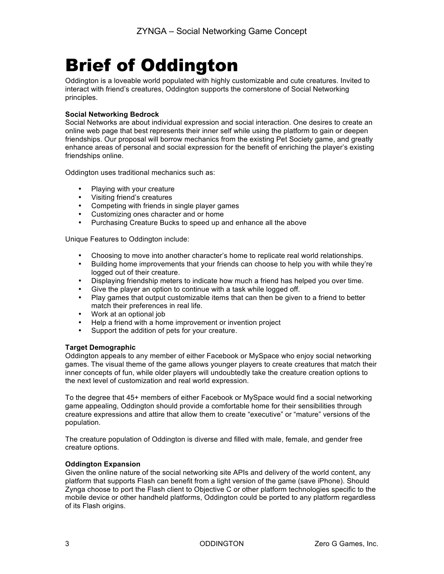## Brief of Oddington

Oddington is a loveable world populated with highly customizable and cute creatures. Invited to interact with friend's creatures, Oddington supports the cornerstone of Social Networking principles.

#### **Social Networking Bedrock**

Social Networks are about individual expression and social interaction. One desires to create an online web page that best represents their inner self while using the platform to gain or deepen friendships. Our proposal will borrow mechanics from the existing Pet Society game, and greatly enhance areas of personal and social expression for the benefit of enriching the player's existing friendships online.

Oddington uses traditional mechanics such as:

- Playing with your creature
- Visiting friend's creatures
- Competing with friends in single player games
- Customizing ones character and or home
- Purchasing Creature Bucks to speed up and enhance all the above

Unique Features to Oddington include:

- Choosing to move into another character's home to replicate real world relationships.
- Building home improvements that your friends can choose to help you with while they're logged out of their creature.
- Displaying friendship meters to indicate how much a friend has helped you over time.
- Give the player an option to continue with a task while logged off.
- Play games that output customizable items that can then be given to a friend to better match their preferences in real life.
- Work at an optional job
- Help a friend with a home improvement or invention project<br>• Support the addition of pets for your creature
- Support the addition of pets for your creature.

#### **Target Demographic**

Oddington appeals to any member of either Facebook or MySpace who enjoy social networking games. The visual theme of the game allows younger players to create creatures that match their inner concepts of fun, while older players will undoubtedly take the creature creation options to the next level of customization and real world expression.

To the degree that 45+ members of either Facebook or MySpace would find a social networking game appealing, Oddington should provide a comfortable home for their sensibilities through creature expressions and attire that allow them to create "executive" or "mature" versions of the population.

The creature population of Oddington is diverse and filled with male, female, and gender free creature options.

#### **Oddington Expansion**

Given the online nature of the social networking site APIs and delivery of the world content, any platform that supports Flash can benefit from a light version of the game (save iPhone). Should Zynga choose to port the Flash client to Objective C or other platform technologies specific to the mobile device or other handheld platforms, Oddington could be ported to any platform regardless of its Flash origins.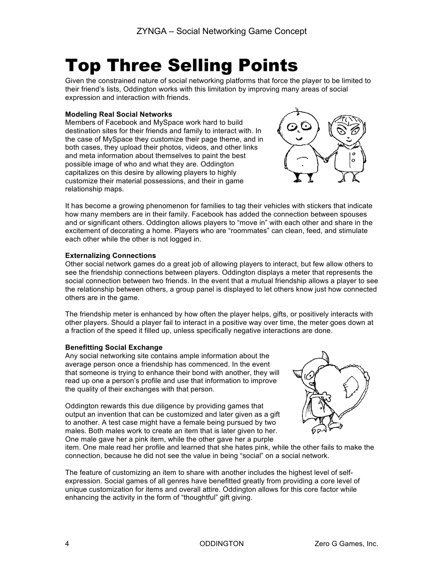# Top Three Selling Points

Given the constrained nature of social networking platforms that force the player to be limited to their friend's lists, Oddington works with this limitation by improving many areas of social expression and interaction with friends.

#### **Modeling Real Social Networks**

Members of Facebook and MySpace work hard to build destination sites for their friends and family to interact with. In the case of MySpace they customize their page theme, and in both cases, they upload their photos, videos, and other links and meta information about themselves to paint the best possible image of who and what they are. Oddington capitalizes on this desire by allowing players to highly customize their material possessions, and their in game relationship maps.



It has become a growing phenomenon for families to tag their vehicles with stickers that indicate how many members are in their family. Facebook has added the connection between spouses and or significant others. Oddington allows players to "move in" with each other and share in the excitement of decorating a home. Players who are "roommates" can clean, feed, and stimulate each other while the other is not logged in.

#### **Externalizing Connections**

Other social network games do a great job of allowing players to interact, but few allow others to see the friendship connections between players. Oddington displays a meter that represents the social connection between two friends. In the event that a mutual friendship allows a player to see the relationship between others, a group panel is displayed to let others know just how connected others are in the game.

The friendship meter is enhanced by how often the player helps, gifts, or positively interacts with other players. Should a player fail to interact in a positive way over time, the meter goes down at a fraction of the speed it filled up, unless specifically negative interactions are done.

#### **Benefitting Social Exchange**

Any social networking site contains ample information about the average person once a friendship has commenced. In the event that someone is trying to enhance their bond with another, they will read up one a person's profile and use that information to improve the quality of their exchanges with that person.

Oddington rewards this due diligence by providing games that output an invention that can be customized and later given as a gift to another. A test case might have a female being pursued by two males. Both males work to create an item that is later given to her. One male gave her a pink item, while the other gave her a purple



item. One male read her profile and learned that she hates pink, while the other fails to make the connection, because he did not see the value in being "social" on a social network.

The feature of customizing an item to share with another includes the highest level of selfexpression. Social games of all genres have benefitted greatly from providing a core level of unique customization for items and overall attire. Oddington allows for this core factor while enhancing the activity in the form of "thoughtful" gift giving.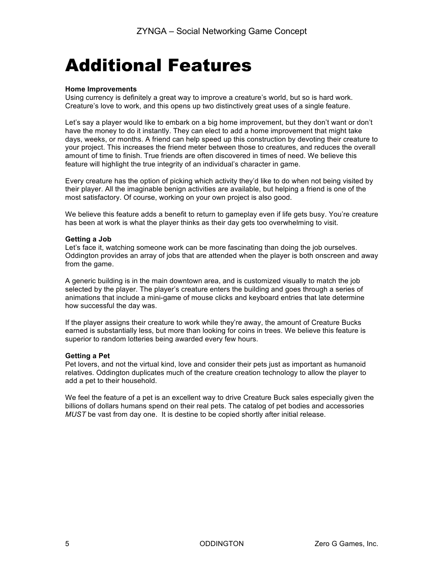### Additional Features

#### **Home Improvements**

Using currency is definitely a great way to improve a creature's world, but so is hard work. Creature's love to work, and this opens up two distinctively great uses of a single feature.

Let's say a player would like to embark on a big home improvement, but they don't want or don't have the money to do it instantly. They can elect to add a home improvement that might take days, weeks, or months. A friend can help speed up this construction by devoting their creature to your project. This increases the friend meter between those to creatures, and reduces the overall amount of time to finish. True friends are often discovered in times of need. We believe this feature will highlight the true integrity of an individual's character in game.

Every creature has the option of picking which activity they'd like to do when not being visited by their player. All the imaginable benign activities are available, but helping a friend is one of the most satisfactory. Of course, working on your own project is also good.

We believe this feature adds a benefit to return to gameplay even if life gets busy. You're creature has been at work is what the player thinks as their day gets too overwhelming to visit.

#### **Getting a Job**

Let's face it, watching someone work can be more fascinating than doing the job ourselves. Oddington provides an array of jobs that are attended when the player is both onscreen and away from the game.

A generic building is in the main downtown area, and is customized visually to match the job selected by the player. The player's creature enters the building and goes through a series of animations that include a mini-game of mouse clicks and keyboard entries that late determine how successful the day was.

If the player assigns their creature to work while they're away, the amount of Creature Bucks earned is substantially less, but more than looking for coins in trees. We believe this feature is superior to random lotteries being awarded every few hours.

#### **Getting a Pet**

Pet lovers, and not the virtual kind, love and consider their pets just as important as humanoid relatives. Oddington duplicates much of the creature creation technology to allow the player to add a pet to their household.

We feel the feature of a pet is an excellent way to drive Creature Buck sales especially given the billions of dollars humans spend on their real pets. The catalog of pet bodies and accessories *MUST* be vast from day one. It is destine to be copied shortly after initial release.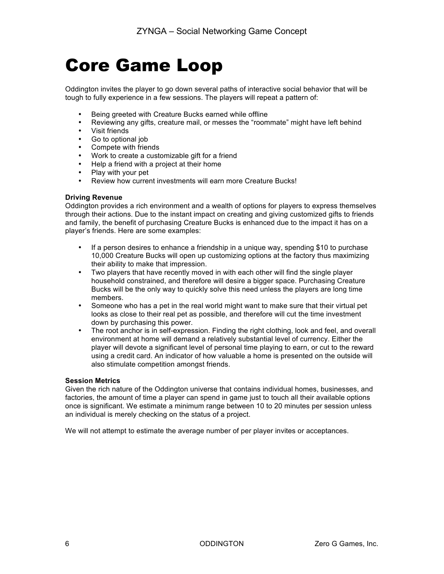### Core Game Loop

Oddington invites the player to go down several paths of interactive social behavior that will be tough to fully experience in a few sessions. The players will repeat a pattern of:

- Being greeted with Creature Bucks earned while offline
- Reviewing any gifts, creature mail, or messes the "roommate" might have left behind<br>• Visit friends
- Visit friends<br>• Go to option
- Go to optional job
- Compete with friends
- Work to create a customizable gift for a friend
- Help a friend with a project at their home
- Play with your pet
- Review how current investments will earn more Creature Bucks!

#### **Driving Revenue**

Oddington provides a rich environment and a wealth of options for players to express themselves through their actions. Due to the instant impact on creating and giving customized gifts to friends and family, the benefit of purchasing Creature Bucks is enhanced due to the impact it has on a player's friends. Here are some examples:

- If a person desires to enhance a friendship in a unique way, spending \$10 to purchase 10,000 Creature Bucks will open up customizing options at the factory thus maximizing their ability to make that impression.
- Two players that have recently moved in with each other will find the single player household constrained, and therefore will desire a bigger space. Purchasing Creature Bucks will be the only way to quickly solve this need unless the players are long time members.
- Someone who has a pet in the real world might want to make sure that their virtual pet looks as close to their real pet as possible, and therefore will cut the time investment down by purchasing this power.
- The root anchor is in self-expression. Finding the right clothing, look and feel, and overall environment at home will demand a relatively substantial level of currency. Either the player will devote a significant level of personal time playing to earn, or cut to the reward using a credit card. An indicator of how valuable a home is presented on the outside will also stimulate competition amongst friends.

#### **Session Metrics**

Given the rich nature of the Oddington universe that contains individual homes, businesses, and factories, the amount of time a player can spend in game just to touch all their available options once is significant. We estimate a minimum range between 10 to 20 minutes per session unless an individual is merely checking on the status of a project.

We will not attempt to estimate the average number of per player invites or acceptances.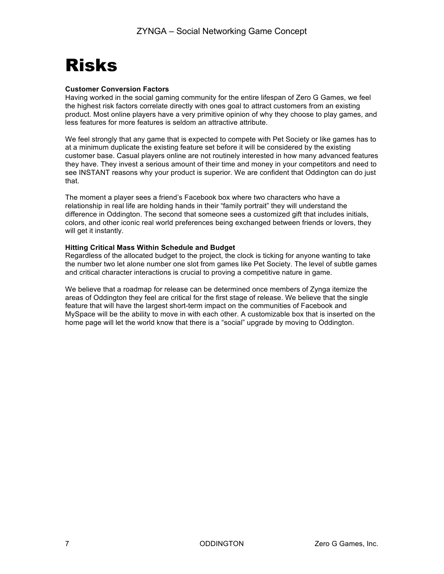### Risks

#### **Customer Conversion Factors**

Having worked in the social gaming community for the entire lifespan of Zero G Games, we feel the highest risk factors correlate directly with ones goal to attract customers from an existing product. Most online players have a very primitive opinion of why they choose to play games, and less features for more features is seldom an attractive attribute.

We feel strongly that any game that is expected to compete with Pet Society or like games has to at a minimum duplicate the existing feature set before it will be considered by the existing customer base. Casual players online are not routinely interested in how many advanced features they have. They invest a serious amount of their time and money in your competitors and need to see INSTANT reasons why your product is superior. We are confident that Oddington can do just that.

The moment a player sees a friend's Facebook box where two characters who have a relationship in real life are holding hands in their "family portrait" they will understand the difference in Oddington. The second that someone sees a customized gift that includes initials, colors, and other iconic real world preferences being exchanged between friends or lovers, they will get it instantly.

#### **Hitting Critical Mass Within Schedule and Budget**

Regardless of the allocated budget to the project, the clock is ticking for anyone wanting to take the number two let alone number one slot from games like Pet Society. The level of subtle games and critical character interactions is crucial to proving a competitive nature in game.

We believe that a roadmap for release can be determined once members of Zynga itemize the areas of Oddington they feel are critical for the first stage of release. We believe that the single feature that will have the largest short-term impact on the communities of Facebook and MySpace will be the ability to move in with each other. A customizable box that is inserted on the home page will let the world know that there is a "social" upgrade by moving to Oddington.